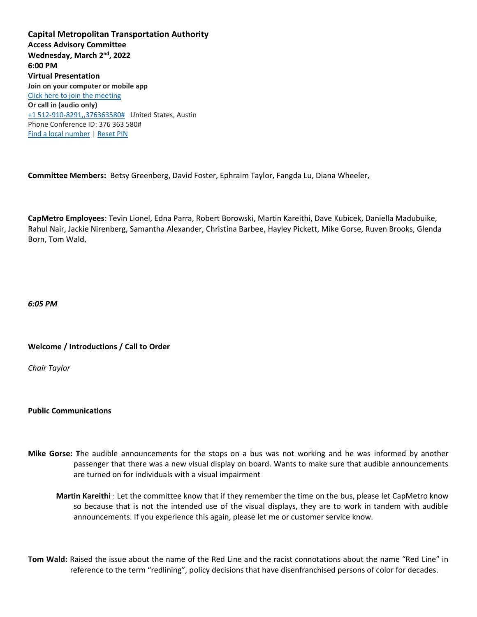**Capital Metropolitan Transportation Authority Access Advisory Committee Wednesday, March 2nd, 2022 6:00 PM Virtual Presentation Join on your computer or mobile app** [Click here to join the meeting](https://teams.microsoft.com/l/meetup-join/19%3ameeting_ODY3N2E5NzEtMmEwMi00MjNhLWEyN2EtOWQwNGY2OGQ4ZTM3%40thread.v2/0?context=%7b%22Tid%22%3a%2226cb04c7-a715-46bf-8650-15f4bed13bbb%22%2c%22Oid%22%3a%226da127cc-d372-4aa6-a399-e6e8447b9f8e%22%7d)  **Or call in (audio only)** [+1 512-910-8291,,376363580#](tel:+15129108291,,376363580) United States, Austin Phone Conference ID: 376 363 580# [Find a local number](https://dialin.teams.microsoft.com/d1e70d38-e707-4311-8ea0-af9da6f6cd4b?id=376363580) | [Reset PIN](https://mysettings.lync.com/pstnconferencing)

**Committee Members:** Betsy Greenberg, David Foster, Ephraim Taylor, Fangda Lu, Diana Wheeler,

**CapMetro Employees**: Tevin Lionel, Edna Parra, Robert Borowski, Martin Kareithi, Dave Kubicek, Daniella Madubuike, Rahul Nair, Jackie Nirenberg, Samantha Alexander, Christina Barbee, Hayley Pickett, Mike Gorse, Ruven Brooks, Glenda Born, Tom Wald,

*6:05 PM*

**Welcome / Introductions / Call to Order**

*Chair Taylor*

**Public Communications**

- **Mike Gorse: T**he audible announcements for the stops on a bus was not working and he was informed by another passenger that there was a new visual display on board. Wants to make sure that audible announcements are turned on for individuals with a visual impairment
	- **Martin Kareithi** : Let the committee know that if they remember the time on the bus, please let CapMetro know so because that is not the intended use of the visual displays, they are to work in tandem with audible announcements. If you experience this again, please let me or customer service know.
- **Tom Wald:** Raised the issue about the name of the Red Line and the racist connotations about the name "Red Line" in reference to the term "redlining", policy decisions that have disenfranchised persons of color for decades.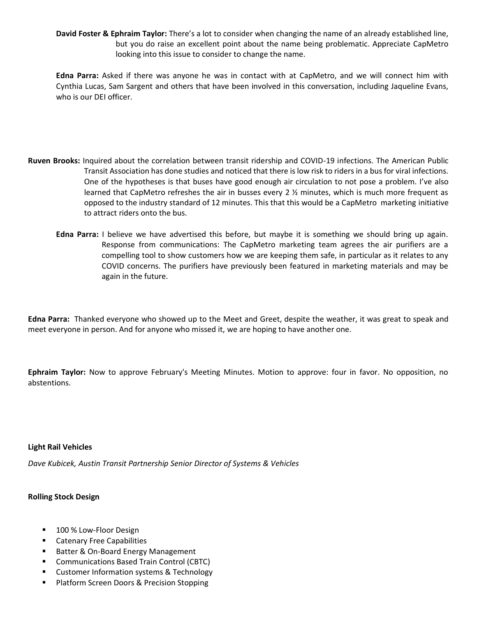**David Foster & Ephraim Taylor:** There's a lot to consider when changing the name of an already established line, but you do raise an excellent point about the name being problematic. Appreciate CapMetro looking into this issue to consider to change the name.

**Edna Parra:** Asked if there was anyone he was in contact with at CapMetro, and we will connect him with Cynthia Lucas, Sam Sargent and others that have been involved in this conversation, including Jaqueline Evans, who is our DEI officer.

- **Ruven Brooks:** Inquired about the correlation between transit ridership and COVID-19 infections. The American Public Transit Association has done studies and noticed that there is low risk to riders in a bus for viral infections. One of the hypotheses is that buses have good enough air circulation to not pose a problem. I've also learned that CapMetro refreshes the air in busses every 2  $\frac{1}{2}$  minutes, which is much more frequent as opposed to the industry standard of 12 minutes. This that this would be a CapMetro marketing initiative to attract riders onto the bus.
	- **Edna Parra:** I believe we have advertised this before, but maybe it is something we should bring up again. Response from communications: The CapMetro marketing team agrees the air purifiers are a compelling tool to show customers how we are keeping them safe, in particular as it relates to any COVID concerns. The purifiers have previously been featured in marketing materials and may be again in the future.

**Edna Parra:** Thanked everyone who showed up to the Meet and Greet, despite the weather, it was great to speak and meet everyone in person. And for anyone who missed it, we are hoping to have another one.

**Ephraim Taylor:** Now to approve February's Meeting Minutes. Motion to approve: four in favor. No opposition, no abstentions.

## **Light Rail Vehicles**

*Dave Kubicek, Austin Transit Partnership Senior Director of Systems & Vehicles*

## **Rolling Stock Design**

- 100 % Low-Floor Design
- Catenary Free Capabilities
- Batter & On-Board Energy Management
- Communications Based Train Control (CBTC)
- Customer Information systems & Technology
- Platform Screen Doors & Precision Stopping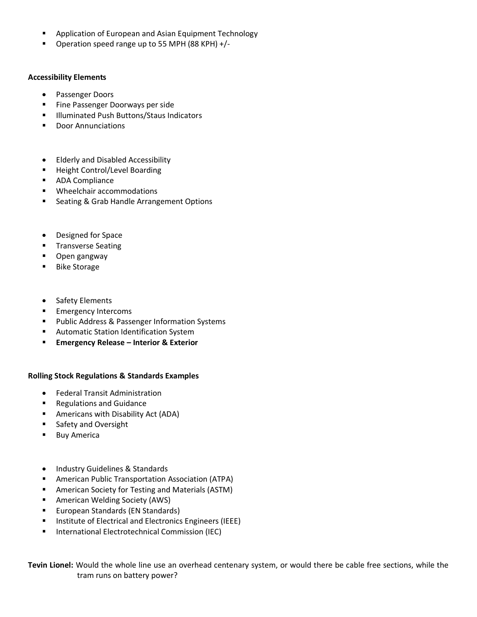- Application of European and Asian Equipment Technology
- Operation speed range up to 55 MPH (88 KPH) +/-

## **Accessibility Elements**

- Passenger Doors
- Fine Passenger Doorways per side
- Illuminated Push Buttons/Staus Indicators
- **Door Annunciations**
- Elderly and Disabled Accessibility
- Height Control/Level Boarding
- ADA Compliance
- Wheelchair accommodations
- Seating & Grab Handle Arrangement Options
- Designed for Space
- **■** Transverse Seating
- Open gangway
- Bike Storage
- Safety Elements
- **Emergency Intercoms**
- Public Address & Passenger Information Systems
- Automatic Station Identification System
- **Emergency Release – Interior & Exterior**

## **Rolling Stock Regulations & Standards Examples**

- Federal Transit Administration
- **Regulations and Guidance**
- Americans with Disability Act (ADA)
- Safety and Oversight
- Buy America
- Industry Guidelines & Standards
- American Public Transportation Association (ATPA)
- American Society for Testing and Materials (ASTM)
- American Welding Society (AWS)
- European Standards (EN Standards)
- Institute of Electrical and Electronics Engineers (IEEE)
- International Electrotechnical Commission (IEC)

**Tevin Lionel:** Would the whole line use an overhead centenary system, or would there be cable free sections, while the tram runs on battery power?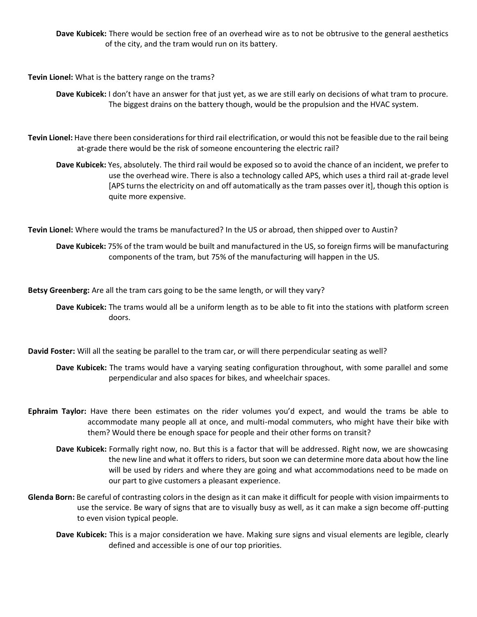**Dave Kubicek:** There would be section free of an overhead wire as to not be obtrusive to the general aesthetics of the city, and the tram would run on its battery.

**Tevin Lionel:** What is the battery range on the trams?

**Dave Kubicek:** I don't have an answer for that just yet, as we are still early on decisions of what tram to procure. The biggest drains on the battery though, would be the propulsion and the HVAC system.

**Tevin Lionel:** Have there been considerations for third rail electrification, or would this not be feasible due to the rail being at-grade there would be the risk of someone encountering the electric rail?

**Dave Kubicek:** Yes, absolutely. The third rail would be exposed so to avoid the chance of an incident, we prefer to use the overhead wire. There is also a technology called APS, which uses a third rail at-grade level [APS turns the electricity on and off automatically as the tram passes over it], though this option is quite more expensive.

**Tevin Lionel:** Where would the trams be manufactured? In the US or abroad, then shipped over to Austin?

**Dave Kubicek:** 75% of the tram would be built and manufactured in the US, so foreign firms will be manufacturing components of the tram, but 75% of the manufacturing will happen in the US.

**Betsy Greenberg:** Are all the tram cars going to be the same length, or will they vary?

**Dave Kubicek:** The trams would all be a uniform length as to be able to fit into the stations with platform screen doors.

**David Foster:** Will all the seating be parallel to the tram car, or will there perpendicular seating as well?

**Dave Kubicek:** The trams would have a varying seating configuration throughout, with some parallel and some perpendicular and also spaces for bikes, and wheelchair spaces.

- **Ephraim Taylor:** Have there been estimates on the rider volumes you'd expect, and would the trams be able to accommodate many people all at once, and multi-modal commuters, who might have their bike with them? Would there be enough space for people and their other forms on transit?
	- **Dave Kubicek:** Formally right now, no. But this is a factor that will be addressed. Right now, we are showcasing the new line and what it offers to riders, but soon we can determine more data about how the line will be used by riders and where they are going and what accommodations need to be made on our part to give customers a pleasant experience.
- **Glenda Born:** Be careful of contrasting colors in the design as it can make it difficult for people with vision impairments to use the service. Be wary of signs that are to visually busy as well, as it can make a sign become off-putting to even vision typical people.
	- **Dave Kubicek:** This is a major consideration we have. Making sure signs and visual elements are legible, clearly defined and accessible is one of our top priorities.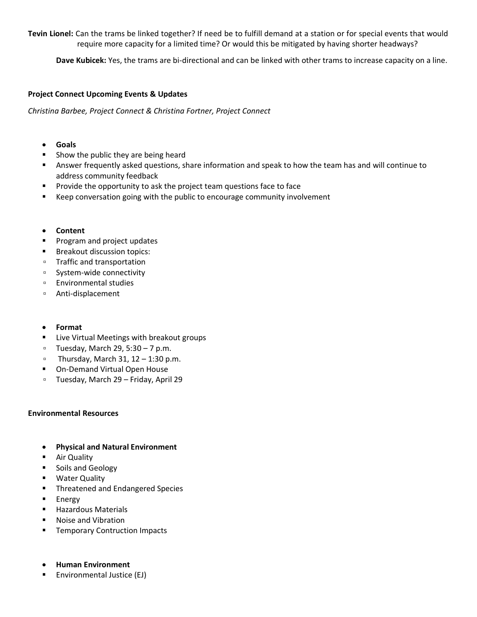**Tevin Lionel:** Can the trams be linked together? If need be to fulfill demand at a station or for special events that would require more capacity for a limited time? Or would this be mitigated by having shorter headways?

**Dave Kubicek:** Yes, the trams are bi-directional and can be linked with other trams to increase capacity on a line.

## **Project Connect Upcoming Events & Updates**

*Christina Barbee, Project Connect & Christina Fortner, Project Connect*

- **Goals**
- Show the public they are being heard
- Answer frequently asked questions, share information and speak to how the team has and will continue to address community feedback
- Provide the opportunity to ask the project team questions face to face
- Keep conversation going with the public to encourage community involvement
- **Content**
- **•** Program and project updates
- Breakout discussion topics:
- Traffic and transportation
- System-wide connectivity
- Environmental studies
- Anti-displacement
- **Format**
- Live Virtual Meetings with breakout groups
- □ Tuesday, March 29, 5:30 7 p.m.
- □ Thursday, March 31,  $12 1:30$  p.m.
- On-Demand Virtual Open House
- Tuesday, March 29 Friday, April 29

## **Environmental Resources**

- **Physical and Natural Environment**
- Air Quality
- Soils and Geology
- Water Quality
- Threatened and Endangered Species
- Energy
- Hazardous Materials
- Noise and Vibration
- Temporary Contruction Impacts
- **Human Environment**
- Environmental Justice (EJ)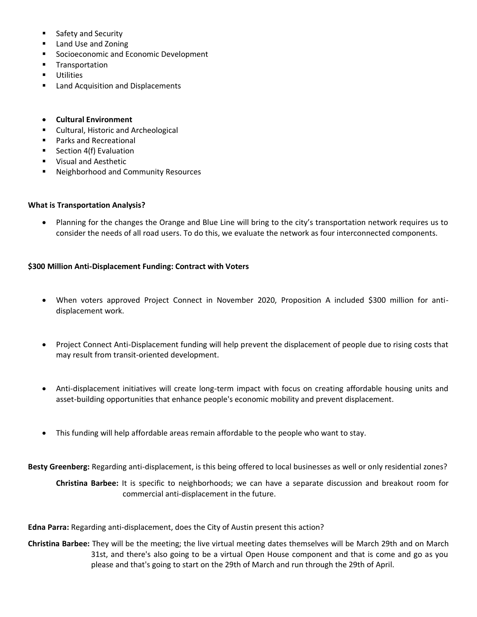- Safety and Security
- Land Use and Zoning
- Socioeconomic and Economic Development
- Transportation
- Utilities
- Land Acquisition and Displacements
- **Cultural Environment**
- **Cultural, Historic and Archeological**
- Parks and Recreational
- Section 4(f) Evaluation
- Visual and Aesthetic
- Neighborhood and Community Resources

### **What is Transportation Analysis?**

• Planning for the changes the Orange and Blue Line will bring to the city's transportation network requires us to consider the needs of all road users. To do this, we evaluate the network as four interconnected components.

## **\$300 Million Anti-Displacement Funding: Contract with Voters**

- When voters approved Project Connect in November 2020, Proposition A included \$300 million for antidisplacement work.
- Project Connect Anti-Displacement funding will help prevent the displacement of people due to rising costs that may result from transit-oriented development.
- Anti-displacement initiatives will create long-term impact with focus on creating affordable housing units and asset-building opportunities that enhance people's economic mobility and prevent displacement.
- This funding will help affordable areas remain affordable to the people who want to stay.

**Besty Greenberg:** Regarding anti-displacement, is this being offered to local businesses as well or only residential zones?

**Christina Barbee:** It is specific to neighborhoods; we can have a separate discussion and breakout room for commercial anti-displacement in the future.

**Edna Parra:** Regarding anti-displacement, does the City of Austin present this action?

**Christina Barbee:** They will be the meeting; the live virtual meeting dates themselves will be March 29th and on March 31st, and there's also going to be a virtual Open House component and that is come and go as you please and that's going to start on the 29th of March and run through the 29th of April.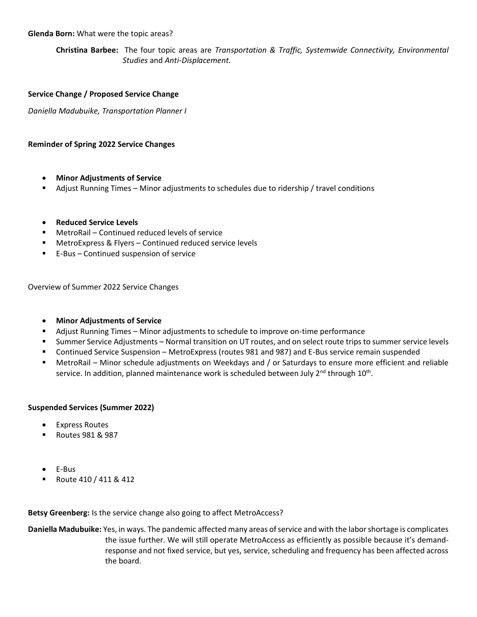### **Glenda Born:** What were the topic areas?

**Christina Barbee:** The four topic areas are *Transportation & Traffic, Systemwide Connectivity, Environmental Studies* and *Anti-Displacement.*

#### **Service Change / Proposed Service Change**

*Daniella Madubuike, Transportation Planner I*

### **Reminder of Spring 2022 Service Changes**

- **Minor Adjustments of Service**
- Adjust Running Times Minor adjustments to schedules due to ridership / travel conditions
- **Reduced Service Levels**
- MetroRail Continued reduced levels of service
- MetroExpress & Flyers Continued reduced service levels
- E-Bus Continued suspension of service

Overview of Summer 2022 Service Changes

- **Minor Adjustments of Service**
- Adjust Running Times Minor adjustments to schedule to improve on-time performance
- Summer Service Adjustments Normal transition on UT routes, and on select route trips to summer service levels
- Continued Service Suspension MetroExpress (routes 981 and 987) and E-Bus service remain suspended
- MetroRail Minor schedule adjustments on Weekdays and / or Saturdays to ensure more efficient and reliable service. In addition, planned maintenance work is scheduled between July 2<sup>nd</sup> through 10<sup>th</sup>.

#### **Suspended Services (Summer 2022)**

- Express Routes
- Routes 981 & 987
- E-Bus
- Route 410 / 411 & 412

**Betsy Greenberg:** Is the service change also going to affect MetroAccess?

**Daniella Madubuike:** Yes, in ways. The pandemic affected many areas of service and with the labor shortage is complicates the issue further. We will still operate MetroAccess as efficiently as possible because it's demandresponse and not fixed service, but yes, service, scheduling and frequency has been affected across the board.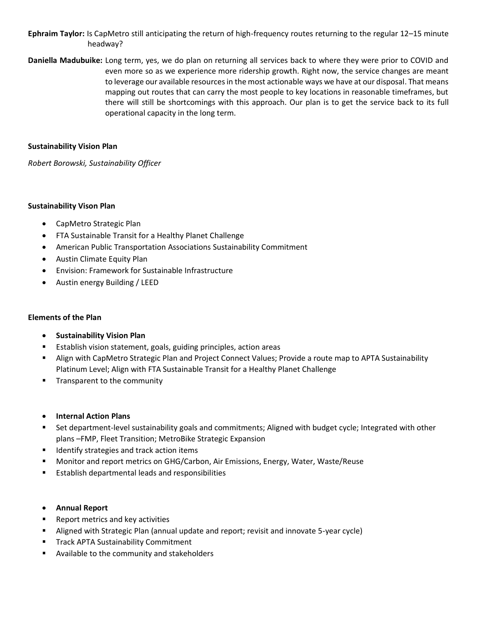# **Ephraim Taylor:** Is CapMetro still anticipating the return of high-frequency routes returning to the regular 12–15 minute headway?

**Daniella Madubuike:** Long term, yes, we do plan on returning all services back to where they were prior to COVID and even more so as we experience more ridership growth. Right now, the service changes are meant to leverage our available resources in the most actionable ways we have at our disposal. That means mapping out routes that can carry the most people to key locations in reasonable timeframes, but there will still be shortcomings with this approach. Our plan is to get the service back to its full operational capacity in the long term.

# **Sustainability Vision Plan**

*Robert Borowski, Sustainability Officer*

## **Sustainability Vison Plan**

- CapMetro Strategic Plan
- FTA Sustainable Transit for a Healthy Planet Challenge
- American Public Transportation Associations Sustainability Commitment
- Austin Climate Equity Plan
- Envision: Framework for Sustainable Infrastructure
- Austin energy Building / LEED

# **Elements of the Plan**

- **Sustainability Vision Plan**
- Establish vision statement, goals, guiding principles, action areas
- Align with CapMetro Strategic Plan and Project Connect Values; Provide a route map to APTA Sustainability Platinum Level; Align with FTA Sustainable Transit for a Healthy Planet Challenge
- Transparent to the community
- **Internal Action Plans**
- Set department-level sustainability goals and commitments; Aligned with budget cycle; Integrated with other plans –FMP, Fleet Transition; MetroBike Strategic Expansion
- Identify strategies and track action items
- Monitor and report metrics on GHG/Carbon, Air Emissions, Energy, Water, Waste/Reuse
- Establish departmental leads and responsibilities
- **Annual Report**
- Report metrics and key activities
- Aligned with Strategic Plan (annual update and report; revisit and innovate 5-year cycle)
- **Track APTA Sustainability Commitment**
- Available to the community and stakeholders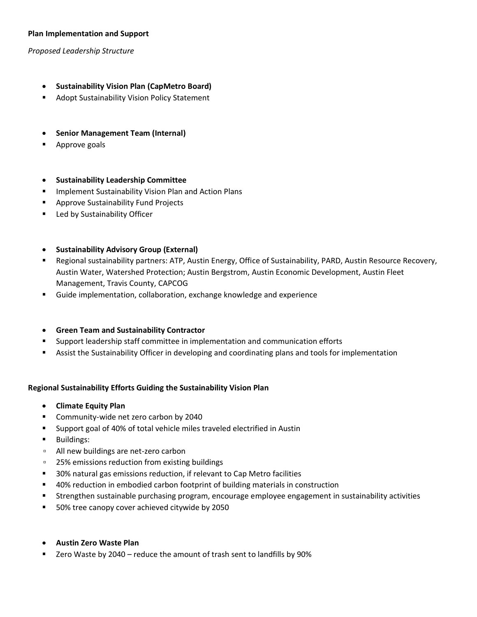## **Plan Implementation and Support**

*Proposed Leadership Structure*

- **Sustainability Vision Plan (CapMetro Board)**
- Adopt Sustainability Vision Policy Statement
- **Senior Management Team (Internal)**
- Approve goals

### • **Sustainability Leadership Committee**

- **■** Implement Sustainability Vision Plan and Action Plans
- Approve Sustainability Fund Projects
- Led by Sustainability Officer

### • **Sustainability Advisory Group (External)**

- Regional sustainability partners: ATP, Austin Energy, Office of Sustainability, PARD, Austin Resource Recovery, Austin Water, Watershed Protection; Austin Bergstrom, Austin Economic Development, Austin Fleet Management, Travis County, CAPCOG
- Guide implementation, collaboration, exchange knowledge and experience
- **Green Team and Sustainability Contractor**
- Support leadership staff committee in implementation and communication efforts
- Assist the Sustainability Officer in developing and coordinating plans and tools for implementation

## **Regional Sustainability Efforts Guiding the Sustainability Vision Plan**

- **Climate Equity Plan**
- Community-wide net zero carbon by 2040
- Support goal of 40% of total vehicle miles traveled electrified in Austin
- Buildings:
- All new buildings are net-zero carbon
- 25% emissions reduction from existing buildings
- 30% natural gas emissions reduction, if relevant to Cap Metro facilities
- 40% reduction in embodied carbon footprint of building materials in construction
- Strengthen sustainable purchasing program, encourage employee engagement in sustainability activities
- 50% tree canopy cover achieved citywide by 2050

#### • **Austin Zero Waste Plan**

Zero Waste by 2040 – reduce the amount of trash sent to landfills by 90%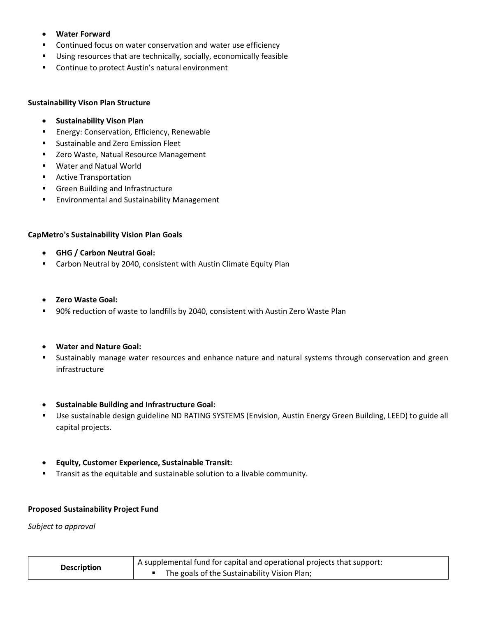- **Water Forward**
- Continued focus on water conservation and water use efficiency
- Using resources that are technically, socially, economically feasible
- Continue to protect Austin's natural environment

### **Sustainability Vison Plan Structure**

- **Sustainability Vison Plan**
- Energy: Conservation, Efficiency, Renewable
- Sustainable and Zero Emission Fleet
- Zero Waste, Natual Resource Management
- Water and Natual World
- Active Transportation
- Green Building and Infrastructure
- **Environmental and Sustainability Management**

## **CapMetro's Sustainability Vision Plan Goals**

- **GHG / Carbon Neutral Goal:**
- Carbon Neutral by 2040, consistent with Austin Climate Equity Plan
- **Zero Waste Goal:**
- 90% reduction of waste to landfills by 2040, consistent with Austin Zero Waste Plan
- **Water and Nature Goal:**
- **EXTED Sustainably manage water resources and enhance nature and natural systems through conservation and green** infrastructure
- **Sustainable Building and Infrastructure Goal:**
- Use sustainable design guideline ND RATING SYSTEMS (Envision, Austin Energy Green Building, LEED) to guide all capital projects.
- **Equity, Customer Experience, Sustainable Transit:**
- **E** Transit as the equitable and sustainable solution to a livable community.

#### **Proposed Sustainability Project Fund**

*Subject to approval*

| <b>Description</b> | A supplemental fund for capital and operational projects that support: |  |
|--------------------|------------------------------------------------------------------------|--|
|                    | The goals of the Sustainability Vision Plan;                           |  |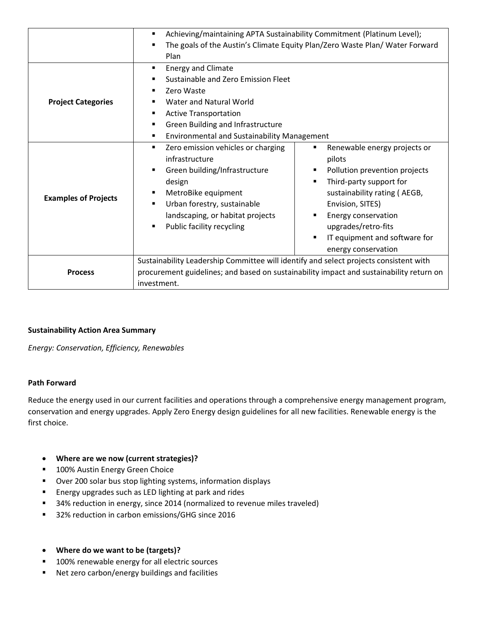|                             | Achieving/maintaining APTA Sustainability Commitment (Platinum Level);<br>٠             |                                    |  |
|-----------------------------|-----------------------------------------------------------------------------------------|------------------------------------|--|
|                             | The goals of the Austin's Climate Equity Plan/Zero Waste Plan/ Water Forward            |                                    |  |
|                             | Plan                                                                                    |                                    |  |
| <b>Project Categories</b>   | <b>Energy and Climate</b><br>٠                                                          |                                    |  |
|                             | Sustainable and Zero Emission Fleet<br>٠                                                |                                    |  |
|                             | Zero Waste<br>٠                                                                         |                                    |  |
|                             | Water and Natural World                                                                 |                                    |  |
|                             | <b>Active Transportation</b><br>٠                                                       |                                    |  |
|                             | Green Building and Infrastructure<br>٠                                                  |                                    |  |
|                             | <b>Environmental and Sustainability Management</b><br>٠                                 |                                    |  |
|                             | Zero emission vehicles or charging<br>٠                                                 | Renewable energy projects or<br>٠  |  |
| <b>Examples of Projects</b> | infrastructure                                                                          | pilots                             |  |
|                             | Green building/Infrastructure<br>٠                                                      | Pollution prevention projects<br>٠ |  |
|                             | design                                                                                  | Third-party support for            |  |
|                             | MetroBike equipment                                                                     | sustainability rating (AEGB,       |  |
|                             | Urban forestry, sustainable<br>$\blacksquare$                                           | Envision, SITES)                   |  |
|                             | landscaping, or habitat projects                                                        | Energy conservation                |  |
|                             | Public facility recycling<br>$\blacksquare$                                             | upgrades/retro-fits                |  |
|                             |                                                                                         | IT equipment and software for      |  |
|                             |                                                                                         | energy conservation                |  |
|                             | Sustainability Leadership Committee will identify and select projects consistent with   |                                    |  |
| <b>Process</b>              | procurement guidelines; and based on sustainability impact and sustainability return on |                                    |  |
|                             | investment.                                                                             |                                    |  |

# **Sustainability Action Area Summary**

*Energy: Conservation, Efficiency, Renewables*

## **Path Forward**

Reduce the energy used in our current facilities and operations through a comprehensive energy management program, conservation and energy upgrades. Apply Zero Energy design guidelines for all new facilities. Renewable energy is the first choice.

- **Where are we now (current strategies)?**
- 100% Austin Energy Green Choice
- Over 200 solar bus stop lighting systems, information displays
- Energy upgrades such as LED lighting at park and rides
- 34% reduction in energy, since 2014 (normalized to revenue miles traveled)
- 32% reduction in carbon emissions/GHG since 2016
- **Where do we want to be (targets)?**
- 100% renewable energy for all electric sources
- Net zero carbon/energy buildings and facilities